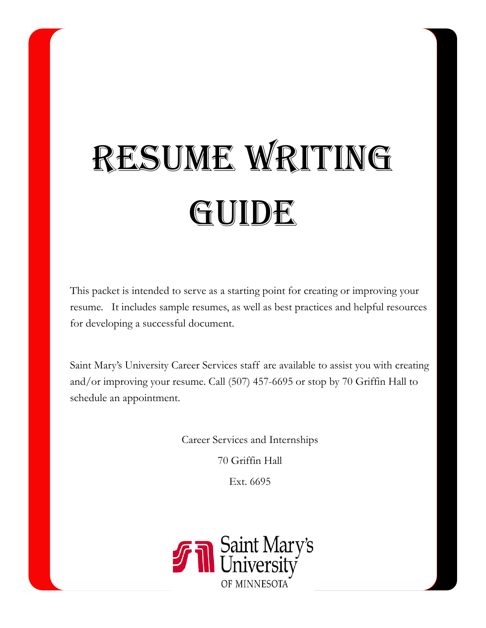# RESUME WRITING GUIDE

This packet is intended to serve as a starting point for creating or improving your resume. It includes sample resumes, as well as best practices and helpful resources for developing a successful document.

Saint Mary's University Career Services staff are available to assist you with creating and/or improving your resume. Call (507) 457-6695 or stop by 70 Griffin Hall to schedule an appointment.

Career Services and Internships

70 Griffin Hall

Ext. 6695

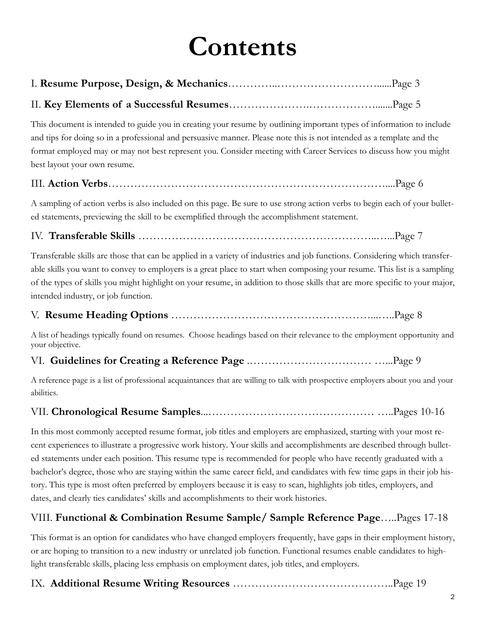# **Contents**

|--|--|--|

### II. **Key Elements of a Successful Resumes**………………….……………….......Page 5

This document is intended to guide you in creating your resume by outlining important types of information to include and tips for doing so in a professional and persuasive manner. Please note this is not intended as a template and the format employed may or may not best represent you. Consider meeting with Career Services to discuss how you might best layout your own resume.

### III. **Action Verbs**…………………………………………………………………....Page 6

A sampling of action verbs is also included on this page. Be sure to use strong action verbs to begin each of your bulleted statements, previewing the skill to be exemplified through the accomplishment statement.

IV. **Transferable Skills** ………………………………………………………..…...Page 7

Transferable skills are those that can be applied in a variety of industries and job functions. Considering which transferable skills you want to convey to employers is a great place to start when composing your resume. This list is a sampling of the types of skills you might highlight on your resume, in addition to those skills that are more specific to your major, intended industry, or job function.

### V. **Resume Heading Options** ………………………………………………...…..Page 8

A list of headings typically found on resumes. Choose headings based on their relevance to the employment opportunity and your objective.

### VI. **Guidelines for Creating a Reference Page** .…………………………… …...Page 9

A reference page is a list of professional acquaintances that are willing to talk with prospective employers about you and your abilities.

# VII. **Chronological Resume Samples**...……………………………………… …..Pages 10-16

In this most commonly accepted resume format, job titles and employers are emphasized, starting with your most recent experiences to illustrate a progressive work history. Your skills and accomplishments are described through bulleted statements under each position. This resume type is recommended for people who have recently graduated with a bachelor's degree, those who are staying within the same career field, and candidates with few time gaps in their job history. This type is most often preferred by employers because it is easy to scan, highlights job titles, employers, and dates, and clearly ties candidates' skills and accomplishments to their work histories.

# VIII. **Functional & Combination Resume Sample/ Sample Reference Page**…..Pages 17-18

This format is an option for candidates who have changed employers frequently, have gaps in their employment history, or are hoping to transition to a new industry or unrelated job function. Functional resumes enable candidates to highlight transferable skills, placing less emphasis on employment dates, job titles, and employers.

## IX. **Additional Resume Writing Resources** ……………………………………..Page 19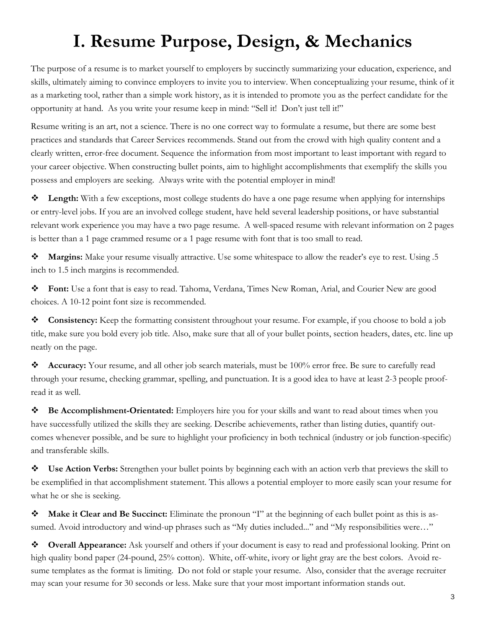# **I. Resume Purpose, Design, & Mechanics**

The purpose of a resume is to market yourself to employers by succinctly summarizing your education, experience, and skills, ultimately aiming to convince employers to invite you to interview. When conceptualizing your resume, think of it as a marketing tool, rather than a simple work history, as it is intended to promote you as the perfect candidate for the opportunity at hand. As you write your resume keep in mind: "Sell it! Don't just tell it!"

Resume writing is an art, not a science. There is no one correct way to formulate a resume, but there are some best practices and standards that Career Services recommends. Stand out from the crowd with high quality content and a clearly written, error-free document. Sequence the information from most important to least important with regard to your career objective. When constructing bullet points, aim to highlight accomplishments that exemplify the skills you possess and employers are seeking. Always write with the potential employer in mind!

**Length:** With a few exceptions, most college students do have a one page resume when applying for internships or entry-level jobs. If you are an involved college student, have held several leadership positions, or have substantial relevant work experience you may have a two page resume. A well-spaced resume with relevant information on 2 pages is better than a 1 page crammed resume or a 1 page resume with font that is too small to read.

**Margins:** Make your resume visually attractive. Use some whitespace to allow the reader's eye to rest. Using .5 inch to 1.5 inch margins is recommended.

**Font:** Use a font that is easy to read. Tahoma, Verdana, Times New Roman, Arial, and Courier New are good choices. A 10-12 point font size is recommended.

**Consistency:** Keep the formatting consistent throughout your resume. For example, if you choose to bold a job title, make sure you bold every job title. Also, make sure that all of your bullet points, section headers, dates, etc. line up neatly on the page.

**Accuracy:** Your resume, and all other job search materials, must be 100% error free. Be sure to carefully read through your resume, checking grammar, spelling, and punctuation. It is a good idea to have at least 2-3 people proofread it as well.

**Be Accomplishment-Orientated:** Employers hire you for your skills and want to read about times when you have successfully utilized the skills they are seeking. Describe achievements, rather than listing duties, quantify outcomes whenever possible, and be sure to highlight your proficiency in both technical (industry or job function-specific) and transferable skills.

**Use Action Verbs:** Strengthen your bullet points by beginning each with an action verb that previews the skill to be exemplified in that accomplishment statement. This allows a potential employer to more easily scan your resume for what he or she is seeking.

**Make it Clear and Be Succinct:** Eliminate the pronoun "I" at the beginning of each bullet point as this is assumed. Avoid introductory and wind-up phrases such as "My duties included..." and "My responsibilities were…"

**Overall Appearance:** Ask yourself and others if your document is easy to read and professional looking. Print on high quality bond paper (24-pound, 25% cotton). White, off-white, ivory or light gray are the best colors. Avoid resume templates as the format is limiting. Do not fold or staple your resume. Also, consider that the average recruiter may scan your resume for 30 seconds or less. Make sure that your most important information stands out.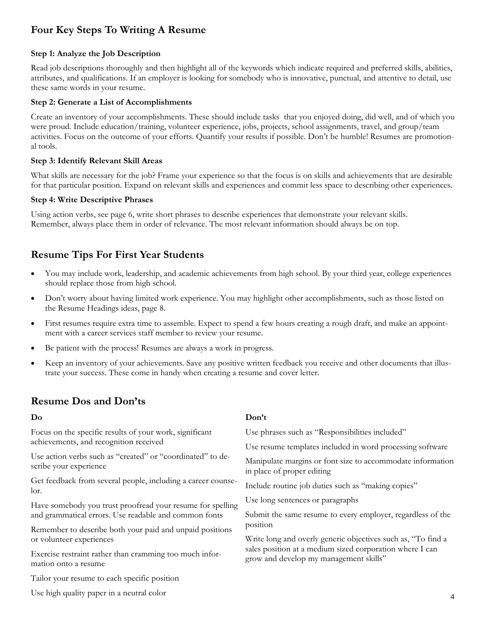# **Four Key Steps To Writing A Resume**

### **Step 1: Analyze the Job Description**

Read job descriptions thoroughly and then highlight all of the keywords which indicate required and preferred skills, abilities, attributes, and qualifications. If an employer is looking for somebody who is innovative, punctual, and attentive to detail, use these same words in your resume.

### **Step 2: Generate a List of Accomplishments**

Create an inventory of your accomplishments. These should include tasks that you enjoyed doing, did well, and of which you were proud. Include education/training, volunteer experience, jobs, projects, school assignments, travel, and group/team activities. Focus on the outcome of your efforts. Quantify your results if possible. Don't be humble! Resumes are promotional tools.

### **Step 3: Identify Relevant Skill Areas**

What skills are necessary for the job? Frame your experience so that the focus is on skills and achievements that are desirable for that particular position. Expand on relevant skills and experiences and commit less space to describing other experiences.

### **Step 4: Write Descriptive Phrases**

Using action verbs, see page 6, write short phrases to describe experiences that demonstrate your relevant skills. Remember, always place them in order of relevance. The most relevant information should always be on top.

### **Resume Tips For First Year Students**

- You may include work, leadership, and academic achievements from high school. By your third year, college experiences should replace those from high school.
- Don't worry about having limited work experience. You may highlight other accomplishments, such as those listed on the Resume Headings ideas, page 8.
- First resumes require extra time to assemble. Expect to spend a few hours creating a rough draft, and make an appointment with a career services staff member to review your resume.
- Be patient with the process! Resumes are always a work in progress.
- Keep an inventory of your achievements. Save any positive written feedback you receive and other documents that illustrate your success. These come in handy when creating a resume and cover letter.

### **Resume Dos and Don'ts**

| Do                                                                                   | Don't                                                                                                                                                              |  |  |  |
|--------------------------------------------------------------------------------------|--------------------------------------------------------------------------------------------------------------------------------------------------------------------|--|--|--|
| Focus on the specific results of your work, significant                              | Use phrases such as "Responsibilities included"                                                                                                                    |  |  |  |
| achievements, and recognition received                                               | Use resume templates included in word processing software                                                                                                          |  |  |  |
| Use action verbs such as "created" or "coordinated" to de-<br>scribe your experience | Manipulate margins or font size to accommodate information<br>in place of proper editing<br>Include routine job duties such as "making copies"                     |  |  |  |
| Get feedback from several people, including a career counse-<br>lor.                 |                                                                                                                                                                    |  |  |  |
| Have somebody you trust proofread your resume for spelling                           | Use long sentences or paragraphs                                                                                                                                   |  |  |  |
| and grammatical errors. Use readable and common fonts                                | Submit the same resume to every employer, regardless of the<br>position                                                                                            |  |  |  |
| Remember to describe both your paid and unpaid positions                             |                                                                                                                                                                    |  |  |  |
| or volunteer experiences                                                             | Write long and overly generic objectives such as, "To find a<br>sales position at a medium sized corporation where I can<br>grow and develop my management skills" |  |  |  |
| Exercise restraint rather than cramming too much infor-<br>mation onto a resume      |                                                                                                                                                                    |  |  |  |
| Tailor your resume to each specific position                                         |                                                                                                                                                                    |  |  |  |
|                                                                                      |                                                                                                                                                                    |  |  |  |

Use high quality paper in a neutral color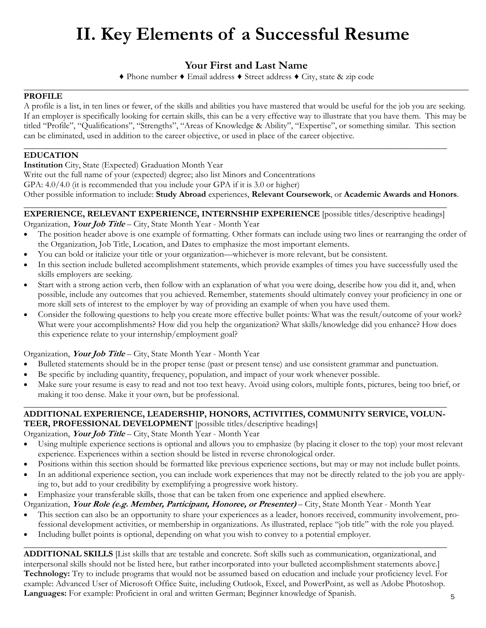# **II. Key Elements of a Successful Resume**

## **Your First and Last Name**

♦ Phone number ♦ Email address ♦ Street address ♦ City, state & zip code

### \_\_\_\_\_\_\_\_\_\_\_\_\_\_\_\_\_\_\_\_\_\_\_\_\_\_\_\_\_\_\_\_\_\_\_\_\_\_\_\_\_\_\_\_\_\_\_\_\_\_\_\_\_\_\_\_\_\_\_\_\_\_\_\_\_\_\_\_\_\_\_\_\_\_\_\_\_\_\_\_\_\_\_\_\_\_\_\_\_\_\_\_\_\_\_\_\_\_\_\_\_\_ **PROFILE**

A profile is a list, in ten lines or fewer, of the skills and abilities you have mastered that would be useful for the job you are seeking. If an employer is specifically looking for certain skills, this can be a very effective way to illustrate that you have them. This may be titled "Profile", "Qualifications", "Strengths", "Areas of Knowledge & Ability", "Expertise", or something similar. This section can be eliminated, used in addition to the career objective, or used in place of the career objective.

### **\_\_\_\_\_\_\_\_\_\_\_\_\_\_\_\_\_\_\_\_\_\_\_\_\_\_\_\_\_\_\_\_\_\_\_\_\_\_\_\_\_\_\_\_\_\_\_\_\_\_\_\_\_\_\_\_\_\_\_\_\_\_\_\_\_\_\_\_\_\_\_\_\_\_\_\_\_\_\_\_\_\_\_\_\_\_\_\_\_\_\_\_\_\_\_\_\_ EDUCATION**

**Institution** City, State (Expected) Graduation Month Year

Write out the full name of your (expected) degree; also list Minors and Concentrations

GPA: 4.0/4.0 (it is recommended that you include your GPA if it is 3.0 or higher)

Other possible information to include: **Study Abroad** experiences, **Relevant Coursework**, or **Academic Awards and Honors**.

### \_\_\_\_\_\_\_\_\_\_\_\_\_\_\_\_\_\_\_\_\_\_\_\_\_\_\_\_\_\_\_\_\_\_\_\_\_\_\_\_\_\_\_\_\_\_\_\_\_\_\_\_\_\_\_\_\_\_\_\_\_\_\_\_\_\_\_\_\_\_\_\_\_\_\_\_\_\_\_\_\_\_\_\_\_\_\_\_\_\_\_\_\_\_\_\_\_ **EXPERIENCE, RELEVANT EXPERIENCE, INTERNSHIP EXPERIENCE** [possible titles/descriptive headings]

Organization, **Your Job Title** – City, State Month Year - Month Year

- The position header above is one example of formatting. Other formats can include using two lines or rearranging the order of the Organization, Job Title, Location, and Dates to emphasize the most important elements.
- You can bold or italicize your title or your organization—whichever is more relevant, but be consistent.
- In this section include bulleted accomplishment statements, which provide examples of times you have successfully used the skills employers are seeking.
- Start with a strong action verb, then follow with an explanation of what you were doing, describe how you did it, and, when possible, include any outcomes that you achieved. Remember, statements should ultimately convey your proficiency in one or more skill sets of interest to the employer by way of providing an example of when you have used them.
- Consider the following questions to help you create more effective bullet points*:* What was the result/outcome of your work? What were your accomplishments? How did you help the organization? What skills/knowledge did you enhance? How does this experience relate to your internship/employment goal?

### Organization, **Your Job Title** – City, State Month Year - Month Year

- Bulleted statements should be in the proper tense (past or present tense) and use consistent grammar and punctuation.
- Be specific by including quantity, frequency, population, and impact of your work whenever possible.
- Make sure your resume is easy to read and not too text heavy. Avoid using colors, multiple fonts, pictures, being too brief, or making it too dense. Make it your own, but be professional.

### $\_$  ,  $\_$  ,  $\_$  ,  $\_$  ,  $\_$  ,  $\_$  ,  $\_$  ,  $\_$  ,  $\_$  ,  $\_$  ,  $\_$  ,  $\_$  ,  $\_$  ,  $\_$  ,  $\_$  ,  $\_$  ,  $\_$  ,  $\_$  ,  $\_$  ,  $\_$  ,  $\_$  ,  $\_$  ,  $\_$  ,  $\_$  ,  $\_$  ,  $\_$  ,  $\_$  ,  $\_$  ,  $\_$  ,  $\_$  ,  $\_$  ,  $\_$  ,  $\_$  ,  $\_$  ,  $\_$  ,  $\_$  ,  $\_$  , **ADDITIONAL EXPERIENCE, LEADERSHIP, HONORS, ACTIVITIES, COMMUNITY SERVICE, VOLUN-TEER, PROFESSIONAL DEVELOPMENT** [possible titles/descriptive headings]

Organization, **Your Job Title** – City, State Month Year - Month Year

- Using multiple experience sections is optional and allows you to emphasize (by placing it closer to the top) your most relevant experience. Experiences within a section should be listed in reverse chronological order.
- Positions within this section should be formatted like previous experience sections, but may or may not include bullet points.
- In an additional experience section, you can include work experiences that may not be directly related to the job you are applying to, but add to your credibility by exemplifying a progressive work history.

### Emphasize your transferable skills, those that can be taken from one experience and applied elsewhere.

- Organization, **Your Role (e.g. Member, Participant, Honoree, or Presenter)**  City, State Month Year Month Year
- This section can also be an opportunity to share your experiences as a leader, honors received, community involvement, professional development activities, or membership in organizations. As illustrated, replace "job title" with the role you played.
- Including bullet points is optional, depending on what you wish to convey to a potential employer.

 $\_$  ,  $\_$  ,  $\_$  ,  $\_$  ,  $\_$  ,  $\_$  ,  $\_$  ,  $\_$  ,  $\_$  ,  $\_$  ,  $\_$  ,  $\_$  ,  $\_$  ,  $\_$  ,  $\_$  ,  $\_$  ,  $\_$  ,  $\_$  ,  $\_$  ,  $\_$  ,  $\_$  ,  $\_$  ,  $\_$  ,  $\_$  ,  $\_$  ,  $\_$  ,  $\_$  ,  $\_$  ,  $\_$  ,  $\_$  ,  $\_$  ,  $\_$  ,  $\_$  ,  $\_$  ,  $\_$  ,  $\_$  ,  $\_$  , **ADDITIONAL SKILLS** [List skills that are testable and concrete. Soft skills such as communication, organizational, and interpersonal skills should not be listed here, but rather incorporated into your bulleted accomplishment statements above.] **Technology:** Try to include programs that would not be assumed based on education and include your proficiency level. For example: Advanced User of Microsoft Office Suite, including Outlook, Excel, and PowerPoint, as well as Adobe Photoshop. **Languages:** For example: Proficient in oral and written German; Beginner knowledge of Spanish.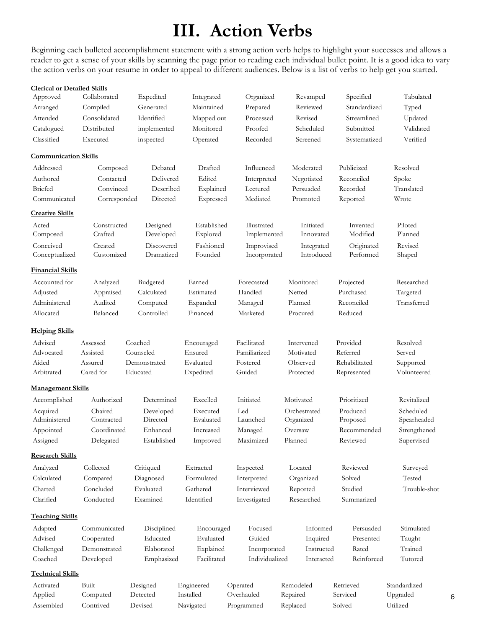# **III. Action Verbs**

Beginning each bulleted accomplishment statement with a strong action verb helps to highlight your successes and allows a reader to get a sense of your skills by scanning the page prior to reading each individual bullet point. It is a good idea to vary the action verbs on your resume in order to appeal to different audiences. Below is a list of verbs to help get you started.

| <b>Clerical or Detailed Skills</b> |                        |                          |                         |                            |                           |                         |                          |
|------------------------------------|------------------------|--------------------------|-------------------------|----------------------------|---------------------------|-------------------------|--------------------------|
| Approved                           | Collaborated           | Expedited                | Integrated              | Organized                  | Revamped                  | Specified               | Tabulated                |
| Arranged                           | Compiled               | Generated                | Maintained              | Prepared                   | Reviewed                  | Standardized            | Typed                    |
| Attended                           | Consolidated           | Identified               | Mapped out              | Processed                  | Revised                   | Streamlined             | Updated                  |
| Catalogued                         | Distributed            | implemented              | Monitored               | Proofed                    | Scheduled                 | Submitted               | Validated                |
| Classified                         | Executed               | inspected                | Operated                | Recorded                   | Screened                  | Systematized            | Verified                 |
| <b>Communication Skills</b>        |                        |                          |                         |                            |                           |                         |                          |
| Addressed                          | Composed               | Debated                  | Drafted                 | Influenced                 | Moderated                 | Publicized              | Resolved                 |
| Authored                           | Contacted              | Delivered                | Edited                  | Interpreted                | Negotiated                | Reconciled              | Spoke                    |
| Briefed                            | Convinced              | Described                | Explained               | Lectured                   | Persuaded                 | Recorded                | Translated               |
| Communicated                       | Corresponded           | Directed                 | Expressed               | Mediated                   | Promoted                  | Reported                | Wrote                    |
| <b>Creative Skills</b>             |                        |                          |                         |                            |                           |                         |                          |
| Acted<br>Composed                  | Constructed<br>Crafted | Designed<br>Developed    | Established<br>Explored | Illustrated<br>Implemented | Initiated<br>Innovated    | Invented<br>Modified    | Piloted<br>Planned       |
| Conceived<br>Conceptualized        | Created<br>Customized  | Discovered<br>Dramatized | Fashioned<br>Founded    | Improvised<br>Incorporated | Integrated<br>Introduced  | Originated<br>Performed | Revised<br>Shaped        |
| <u>Financial Skills</u>            |                        |                          |                         |                            |                           |                         |                          |
| Accounted for                      | Analyzed               | Budgeted                 | Earned                  | Forecasted                 | Monitored                 | Projected               | Researched               |
| Adjusted                           | Appraised              | Calculated               | Estimated               | Handled                    | Netted                    | Purchased               | Targeted                 |
| Administered                       | Audited                | Computed                 | Expanded                | Managed                    | Planned                   | Reconciled              | Transferred              |
| Allocated                          | Balanced               | Controlled               | Financed                | Marketed                   | Procured                  | Reduced                 |                          |
| <b>Helping Skills</b>              |                        |                          |                         |                            |                           |                         |                          |
| Advised                            | Assessed               | Coached                  | Encouraged              | Facilitated                | Intervened                | Provided                | Resolved                 |
| Advocated                          | Assisted               | Counseled                | Ensured                 | Familiarized               | Motivated                 | Referred                | Served                   |
| Aided                              | Assured                | Demonstrated             | Evaluated               | Fostered                   | Observed                  | Rehabilitated           | Supported                |
| Arbitrated                         | Cared for              | Educated                 | Expedited               | Guided                     | Protected                 | Represented             | Volunteered              |
| <b>Management Skills</b>           |                        |                          |                         |                            |                           |                         |                          |
| Accomplished                       | Authorized             | Determined               | Excelled                | Initiated                  | Motivated                 | Prioritized             | Revitalized              |
| Acquired<br>Administered           | Chaired<br>Contracted  | Developed<br>Directed    | Executed<br>Evaluated   | Led<br>Launched            | Orchestrated<br>Organized | Produced<br>Proposed    | Scheduled<br>Spearheaded |
| Appointed                          | Coordinated            | Enhanced                 | Increased               | Managed                    | Oversaw                   | Recommended             | Strengthened             |
| Assigned                           | Delegated              | Established              | Improved                | Maximized                  | Planned                   | Reviewed                | Supervised               |
| <b>Research Skills</b>             |                        |                          |                         |                            |                           |                         |                          |
| Analyzed                           | Collected              | Critiqued                | Extracted               | Inspected                  | Located                   | Reviewed                | Surveyed                 |
| Calculated                         | Compared               | Diagnosed                | Formulated              | Interpreted                | Organized                 | Solved                  | Tested                   |
| Charted                            | Concluded              | Evaluated                | Gathered                | Interviewed                | Reported                  | Studied                 | Trouble-shot             |
| Clarified                          | Conducted              | Examined                 | Identified              | Investigated               | Researched                | Summarized              |                          |
| <b>Teaching Skills</b>             |                        |                          |                         |                            |                           |                         |                          |
| Adapted                            | Communicated           | Disciplined              | Encouraged              | Focused                    | Informed                  | Persuaded               | Stimulated               |
| Advised                            | Cooperated             | Educated                 | Evaluated               | Guided                     | Inquired                  | Presented               | Taught                   |
| Challenged                         | Demonstrated           | Elaborated               | Explained               | Incorporated               | Instructed                | Rated                   | Trained                  |
| Coached                            | Developed              | Emphasized               | Facilitated             | Individualized             | Interacted                | Reinforced              | Tutored                  |
| <u>Technical Skills</u>            |                        |                          |                         |                            |                           |                         |                          |
| Activated                          | Built                  | Designed                 | Engineered              | Operated                   | Remodeled                 | Retrieved               | Standardized             |
| Applied                            | Computed               | Detected                 | Installed               | Overhauled                 | Repaired                  | Serviced                | Upgraded                 |
| Assembled                          | Contrived              | Devised                  | Navigated               | Programmed                 | Replaced                  | Solved                  | Utilized                 |

6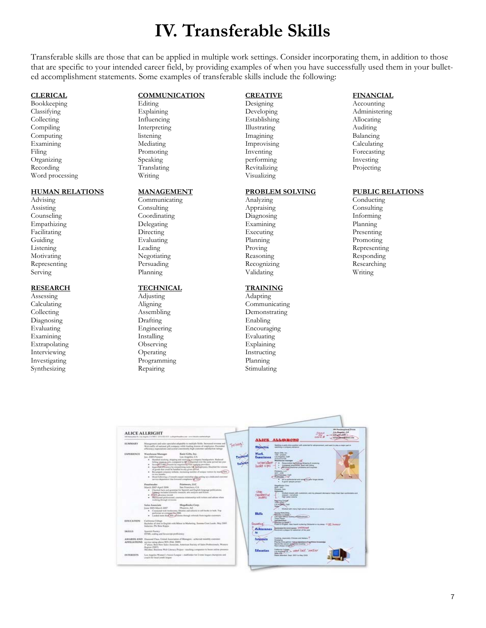# **IV. Transferable Skills**

Transferable skills are those that can be applied in multiple work settings. Consider incorporating them, in addition to those that are specific to your intended career field, by providing examples of when you have successfully used them in your bulleted accomplishment statements. Some examples of transferable skills include the following:

### **CLERICAL**

Bookkeeping Classifying Collecting Compiling Computing Examining Filing Organizing Recording Word processing

#### **HUMAN RELATIONS**

Advising Assisting Counseling Empathizing Facilitating Guiding Listening Motivating Representing Serving

### **RESEARCH**

Assessing Calculating Collecting Diagnosing Evaluating Examining Extrapolating Interviewing Investigating Synthesizing

### **COMMUNICATION**

Editing Explaining Influencing Interpreting listening Mediating Promoting Speaking Translating Writing

#### **MANAGEMENT**

Communicating Consulting Coordinating Delegating Directing Evaluating Leading Negotiating Persuading Planning

### **TECHNICAL**

Adjusting Aligning Assembling Drafting Engineering Installing Observing Operating Programming Repairing

### **CREATIVE**

Designing Developing Establishing Illustrating Imagining Improvising Inventing performing Revitalizing Visualizing

#### **PROBLEM SOLVING**

Analyzing Appraising Diagnosing Examining Executing Planning Proving Reasoning Recognizing Validating

#### **TRAINING**

Adapting Communicating Demonstrating Enabling Encouraging Evaluating Explaining Instructing Planning Stimulating

### **FINANCIAL**

Accounting Administering Allocating Auditing Balancing Calculating Forecasting Investing Projecting

#### **PUBLIC RELATIONS**

Conducting Consulting Informing Planning Presenting Promoting Representing Responding Researching Writing

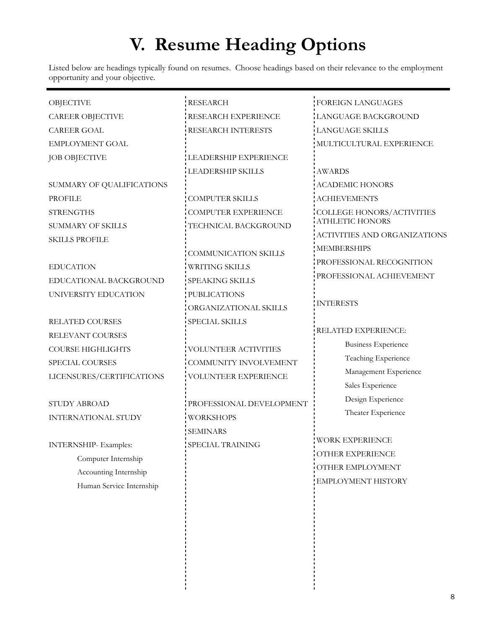# **V. Resume Heading Options**

Listed below are headings typically found on resumes. Choose headings based on their relevance to the employment opportunity and your objective.

| <b>OBJECTIVE</b>            | <b>RESEARCH</b>             | <b>FOREIGN LANGUAGES</b>     |
|-----------------------------|-----------------------------|------------------------------|
| <b>CAREER OBJECTIVE</b>     | RESEARCH EXPERIENCE         | LANGUAGE BACKGROUND          |
| <b>CAREER GOAL</b>          | RESEARCH INTERESTS          | <b>LANGUAGE SKILLS</b>       |
| <b>EMPLOYMENT GOAL</b>      |                             | MULTICULTURAL EXPERIENCE     |
| <b>JOB OBJECTIVE</b>        | LEADERSHIP EXPERIENCE       |                              |
|                             | LEADERSHIP SKILLS           | <b>AWARDS</b>                |
| SUMMARY OF QUALIFICATIONS   |                             | <b>ACADEMIC HONORS</b>       |
| <b>PROFILE</b>              | <b>COMPUTER SKILLS</b>      | <b>ACHIEVEMENTS</b>          |
| <b>STRENGTHS</b>            | <b>COMPUTER EXPERIENCE</b>  | COLLEGE HONORS/ACTIVITIES    |
| <b>SUMMARY OF SKILLS</b>    | TECHNICAL BACKGROUND        | <b>ATHLETIC HONORS</b>       |
| <b>SKILLS PROFILE</b>       |                             | ACTIVITIES AND ORGANIZATIONS |
|                             | <b>COMMUNICATION SKILLS</b> | MEMBERSHIPS                  |
| <b>EDUCATION</b>            | <b>WRITING SKILLS</b>       | PROFESSIONAL RECOGNITION     |
| EDUCATIONAL BACKGROUND      | SPEAKING SKILLS             | PROFESSIONAL ACHIEVEMENT     |
| UNIVERSITY EDUCATION        | PUBLICATIONS                |                              |
|                             | ORGANIZATIONAL SKILLS       | <b>INTERESTS</b>             |
| <b>RELATED COURSES</b>      | SPECIAL SKILLS              |                              |
| RELEVANT COURSES            |                             | RELATED EXPERIENCE:          |
| <b>COURSE HIGHLIGHTS</b>    | VOLUNTEER ACTIVITIES        | <b>Business Experience</b>   |
| SPECIAL COURSES             | COMMUNITY INVOLVEMENT       | Teaching Experience          |
| LICENSURES/CERTIFICATIONS   | VOLUNTEER EXPERIENCE        | Management Experience        |
|                             |                             | Sales Experience             |
| STUDY ABROAD                | PROFESSIONAL DEVELOPMENT    | Design Experience            |
| <b>INTERNATIONAL STUDY</b>  | <b>WORKSHOPS</b>            | Theater Experience           |
|                             | <b>SEMINARS</b>             |                              |
| <b>INTERNSHIP-Examples:</b> | <b>SPECIAL TRAINING</b>     | <b>WORK EXPERIENCE</b>       |
| Computer Internship         |                             | OTHER EXPERIENCE             |
| Accounting Internship       |                             | OTHER EMPLOYMENT             |
| Human Service Internship    |                             | EMPLOYMENT HISTORY           |
|                             |                             |                              |
|                             |                             |                              |
|                             |                             |                              |
|                             |                             |                              |
|                             |                             |                              |
|                             |                             |                              |
|                             |                             |                              |
|                             |                             |                              |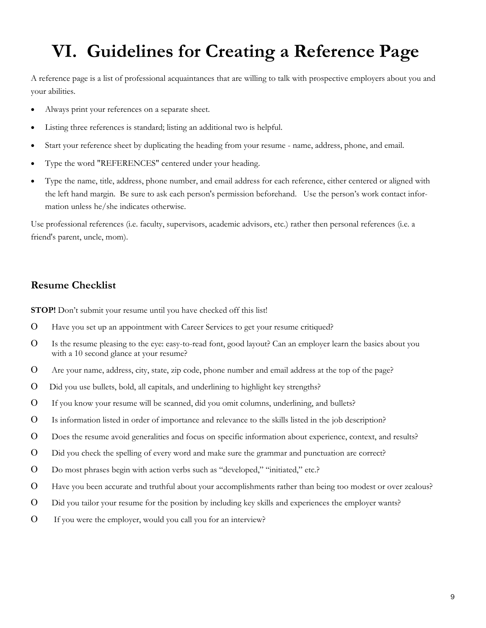# **VI. Guidelines for Creating a Reference Page**

A reference page is a list of professional acquaintances that are willing to talk with prospective employers about you and your abilities.

- Always print your references on a separate sheet.
- Listing three references is standard; listing an additional two is helpful.
- Start your reference sheet by duplicating the heading from your resume name, address, phone, and email.
- Type the word "REFERENCES" centered under your heading.
- Type the name, title, address, phone number, and email address for each reference, either centered or aligned with the left hand margin. Be sure to ask each person's permission beforehand. Use the person's work contact information unless he/she indicates otherwise.

Use professional references (i.e. faculty, supervisors, academic advisors, etc.) rather then personal references (i.e. a friend's parent, uncle, mom).

## **Resume Checklist**

**STOP!** Don't submit your resume until you have checked off this list!

- Have you set up an appointment with Career Services to get your resume critiqued?
- Is the resume pleasing to the eye: easy-to-read font, good layout? Can an employer learn the basics about you with a 10 second glance at your resume?
- Are your name, address, city, state, zip code, phone number and email address at the top of the page?
- Did you use bullets, bold, all capitals, and underlining to highlight key strengths?
- If you know your resume will be scanned, did you omit columns, underlining, and bullets?
- Is information listed in order of importance and relevance to the skills listed in the job description?
- Does the resume avoid generalities and focus on specific information about experience, context, and results?
- Did you check the spelling of every word and make sure the grammar and punctuation are correct?
- Do most phrases begin with action verbs such as "developed," "initiated," etc.?
- Have you been accurate and truthful about your accomplishments rather than being too modest or over zealous?
- Did you tailor your resume for the position by including key skills and experiences the employer wants?
- If you were the employer, would you call you for an interview?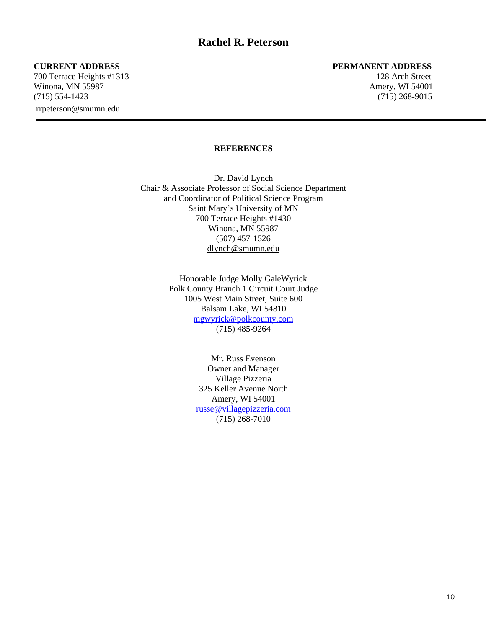700 Terrace Heights #1313 128 Arch Street Winona, MN 55987 **Amery, WI 54001** Amery, WI 54001 (715) 554-1423 (715) 268-9015 rrpeterson@smumn.edu

### **CURRENT ADDRESS PERMANENT ADDRESS**

### **REFERENCES**

Dr. David Lynch Chair & Associate Professor of Social Science Department and Coordinator of Political Science Program Saint Mary's University of MN 700 Terrace Heights #1430 Winona, MN 55987 (507) 457-1526 dlynch@smumn.edu

> Honorable Judge Molly GaleWyrick Polk County Branch 1 Circuit Court Judge 1005 West Main Street, Suite 600 Balsam Lake, WI 54810 mgwyrick@polkcounty.com (715) 485-9264

> > Mr. Russ Evenson Owner and Manager Village Pizzeria 325 Keller Avenue North Amery, WI 54001 russe@villagepizzeria.com (715) 268-7010